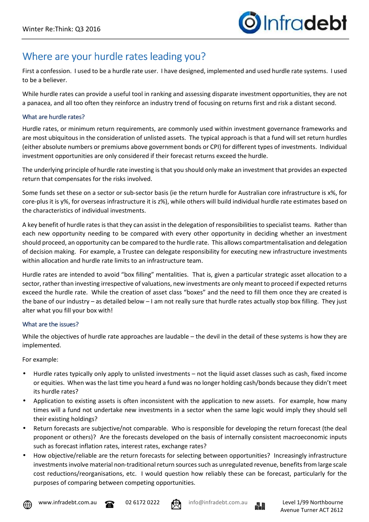## Where are your hurdle rates leading you?

First a confession. I used to be a hurdle rate user. I have designed, implemented and used hurdle rate systems. I used to be a believer.

While hurdle rates can provide a useful tool in ranking and assessing disparate investment opportunities, they are not a panacea, and all too often they reinforce an industry trend of focusing on returns first and risk a distant second.

## What are hurdle rates?

Hurdle rates, or minimum return requirements, are commonly used within investment governance frameworks and are most ubiquitous in the consideration of unlisted assets. The typical approach is that a fund will set return hurdles (either absolute numbers or premiums above government bonds or CPI) for different types of investments. Individual investment opportunities are only considered if their forecast returns exceed the hurdle.

The underlying principle of hurdle rate investing is that you should only make an investment that provides an expected return that compensates for the risks involved.

Some funds set these on a sector or sub-sector basis (ie the return hurdle for Australian core infrastructure is x%, for core-plus it is y%, for overseas infrastructure it is z%), while others will build individual hurdle rate estimates based on the characteristics of individual investments.

A key benefit of hurdle rates is that they can assist in the delegation of responsibilities to specialist teams. Rather than each new opportunity needing to be compared with every other opportunity in deciding whether an investment should proceed, an opportunity can be compared to the hurdle rate. This allows compartmentalisation and delegation of decision making. For example, a Trustee can delegate responsibility for executing new infrastructure investments within allocation and hurdle rate limits to an infrastructure team.

Hurdle rates are intended to avoid "box filling" mentalities. That is, given a particular strategic asset allocation to a sector, rather than investing irrespective of valuations, new investments are only meant to proceed if expected returns exceed the hurdle rate. While the creation of asset class "boxes" and the need to fill them once they are created is the bane of our industry – as detailed below – I am not really sure that hurdle rates actually stop box filling. They just alter what you fill your box with!

## What are the issues?

While the objectives of hurdle rate approaches are laudable – the devil in the detail of these systems is how they are implemented.

For example:

- Hurdle rates typically only apply to unlisted investments not the liquid asset classes such as cash, fixed income or equities. When was the last time you heard a fund was no longer holding cash/bonds because they didn't meet its hurdle rates?
- Application to existing assets is often inconsistent with the application to new assets. For example, how many times will a fund not undertake new investments in a sector when the same logic would imply they should sell their existing holdings?
- Return forecasts are subjective/not comparable. Who is responsible for developing the return forecast (the deal proponent or others)? Are the forecasts developed on the basis of internally consistent macroeconomic inputs such as forecast inflation rates, interest rates, exchange rates?
- How objective/reliable are the return forecasts for selecting between opportunities? Increasingly infrastructure investments involve material non-traditional return sources such as unregulated revenue, benefits from large scale cost reductions/reorganisations, etc. I would question how reliably these can be forecast, particularly for the purposes of comparing between competing opportunities.